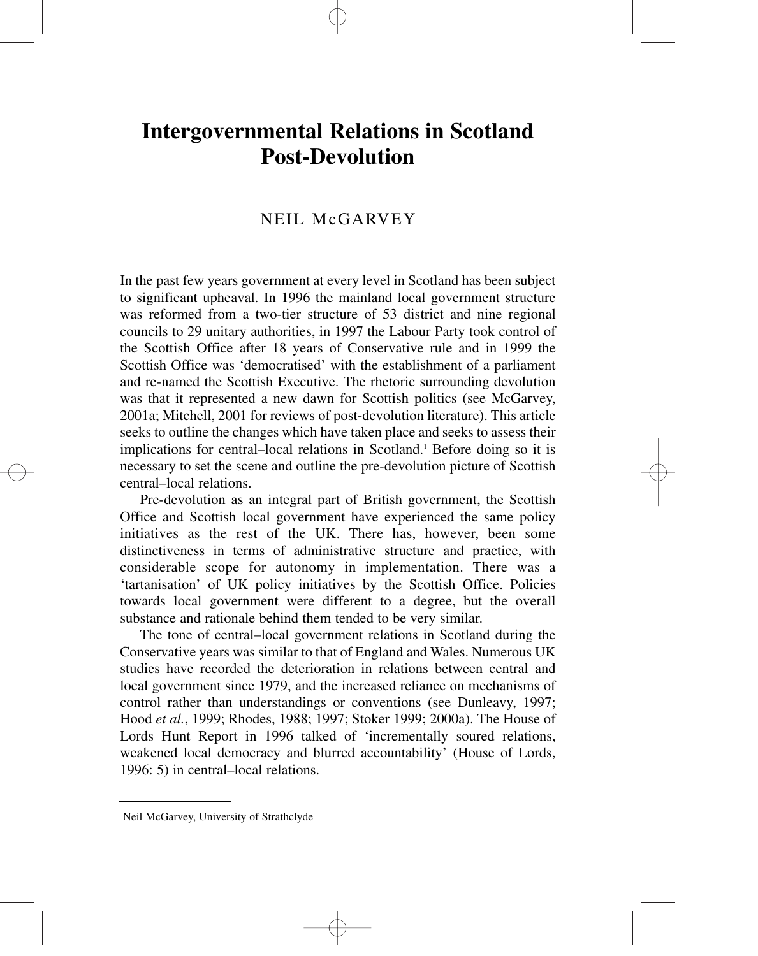# **Intergovernmental Relations in Scotland Post-Devolution**

# NEIL McGARVEY

In the past few years government at every level in Scotland has been subject to significant upheaval. In 1996 the mainland local government structure was reformed from a two-tier structure of 53 district and nine regional councils to 29 unitary authorities, in 1997 the Labour Party took control of the Scottish Office after 18 years of Conservative rule and in 1999 the Scottish Office was 'democratised' with the establishment of a parliament and re-named the Scottish Executive. The rhetoric surrounding devolution was that it represented a new dawn for Scottish politics (see McGarvey, 2001a; Mitchell, 2001 for reviews of post-devolution literature). This article seeks to outline the changes which have taken place and seeks to assess their implications for central–local relations in Scotland.<sup>1</sup> Before doing so it is necessary to set the scene and outline the pre-devolution picture of Scottish central–local relations.

Pre-devolution as an integral part of British government, the Scottish Office and Scottish local government have experienced the same policy initiatives as the rest of the UK. There has, however, been some distinctiveness in terms of administrative structure and practice, with considerable scope for autonomy in implementation. There was a 'tartanisation' of UK policy initiatives by the Scottish Office. Policies towards local government were different to a degree, but the overall substance and rationale behind them tended to be very similar.

The tone of central–local government relations in Scotland during the Conservative years was similar to that of England and Wales. Numerous UK studies have recorded the deterioration in relations between central and local government since 1979, and the increased reliance on mechanisms of control rather than understandings or conventions (see Dunleavy, 1997; Hood *et al.*, 1999; Rhodes, 1988; 1997; Stoker 1999; 2000a). The House of Lords Hunt Report in 1996 talked of 'incrementally soured relations, weakened local democracy and blurred accountability' (House of Lords, 1996: 5) in central–local relations.

Neil McGarvey, University of Strathclyde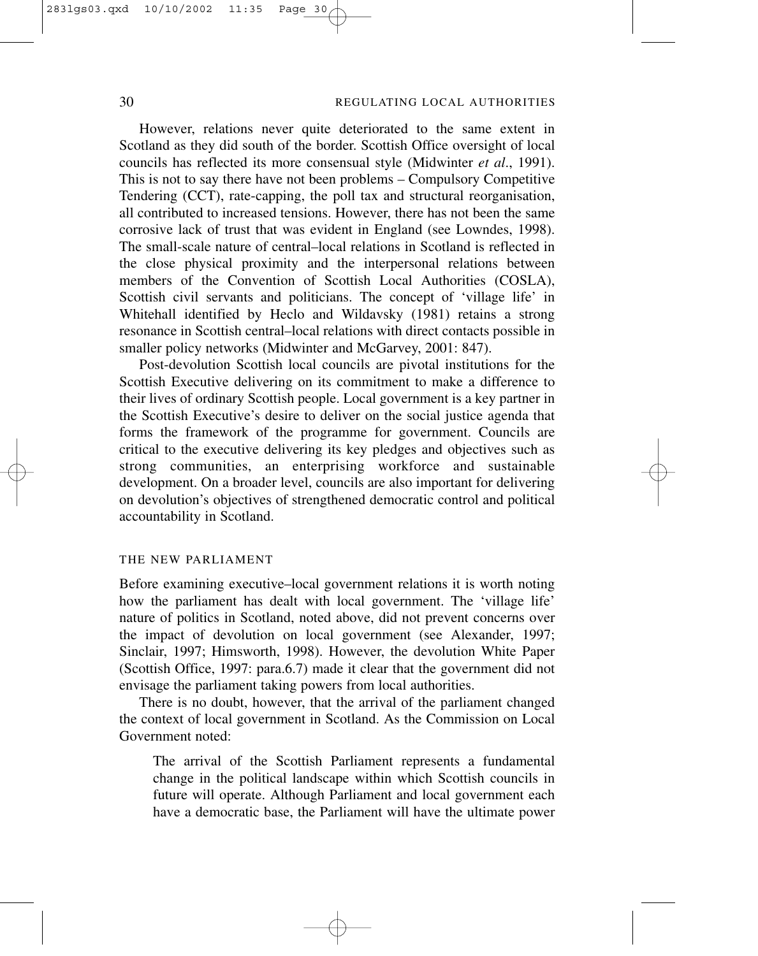However, relations never quite deteriorated to the same extent in Scotland as they did south of the border. Scottish Office oversight of local councils has reflected its more consensual style (Midwinter *et al*., 1991). This is not to say there have not been problems – Compulsory Competitive Tendering (CCT), rate-capping, the poll tax and structural reorganisation, all contributed to increased tensions. However, there has not been the same corrosive lack of trust that was evident in England (see Lowndes, 1998). The small-scale nature of central–local relations in Scotland is reflected in the close physical proximity and the interpersonal relations between members of the Convention of Scottish Local Authorities (COSLA), Scottish civil servants and politicians. The concept of 'village life' in Whitehall identified by Heclo and Wildavsky (1981) retains a strong resonance in Scottish central–local relations with direct contacts possible in smaller policy networks (Midwinter and McGarvey, 2001: 847).

Post-devolution Scottish local councils are pivotal institutions for the Scottish Executive delivering on its commitment to make a difference to their lives of ordinary Scottish people. Local government is a key partner in the Scottish Executive's desire to deliver on the social justice agenda that forms the framework of the programme for government. Councils are critical to the executive delivering its key pledges and objectives such as strong communities, an enterprising workforce and sustainable development. On a broader level, councils are also important for delivering on devolution's objectives of strengthened democratic control and political accountability in Scotland.

### THE NEW PARLIAMENT

Before examining executive–local government relations it is worth noting how the parliament has dealt with local government. The 'village life' nature of politics in Scotland, noted above, did not prevent concerns over the impact of devolution on local government (see Alexander, 1997; Sinclair, 1997; Himsworth, 1998). However, the devolution White Paper (Scottish Office, 1997: para.6.7) made it clear that the government did not envisage the parliament taking powers from local authorities.

There is no doubt, however, that the arrival of the parliament changed the context of local government in Scotland. As the Commission on Local Government noted:

The arrival of the Scottish Parliament represents a fundamental change in the political landscape within which Scottish councils in future will operate. Although Parliament and local government each have a democratic base, the Parliament will have the ultimate power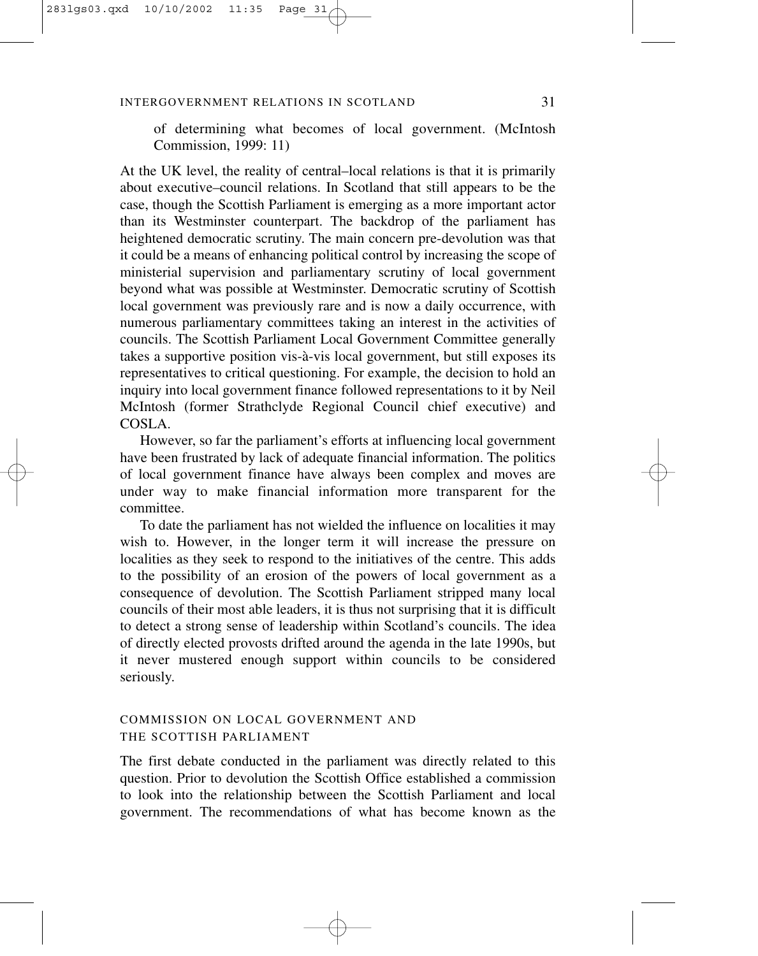283lgs03.gxd 10/10/2002

of determining what becomes of local government. (McIntosh Commission, 1999: 11)

At the UK level, the reality of central–local relations is that it is primarily about executive–council relations. In Scotland that still appears to be the case, though the Scottish Parliament is emerging as a more important actor than its Westminster counterpart. The backdrop of the parliament has heightened democratic scrutiny. The main concern pre-devolution was that it could be a means of enhancing political control by increasing the scope of ministerial supervision and parliamentary scrutiny of local government beyond what was possible at Westminster. Democratic scrutiny of Scottish local government was previously rare and is now a daily occurrence, with numerous parliamentary committees taking an interest in the activities of councils. The Scottish Parliament Local Government Committee generally takes a supportive position vis-à-vis local government, but still exposes its representatives to critical questioning. For example, the decision to hold an inquiry into local government finance followed representations to it by Neil McIntosh (former Strathclyde Regional Council chief executive) and COSLA.

However, so far the parliament's efforts at influencing local government have been frustrated by lack of adequate financial information. The politics of local government finance have always been complex and moves are under way to make financial information more transparent for the committee.

To date the parliament has not wielded the influence on localities it may wish to. However, in the longer term it will increase the pressure on localities as they seek to respond to the initiatives of the centre. This adds to the possibility of an erosion of the powers of local government as a consequence of devolution. The Scottish Parliament stripped many local councils of their most able leaders, it is thus not surprising that it is difficult to detect a strong sense of leadership within Scotland's councils. The idea of directly elected provosts drifted around the agenda in the late 1990s, but it never mustered enough support within councils to be considered seriously.

# COMMISSION ON LOCAL GOVERNMENT AND THE SCOTTISH PARLIAMENT

The first debate conducted in the parliament was directly related to this question. Prior to devolution the Scottish Office established a commission to look into the relationship between the Scottish Parliament and local government. The recommendations of what has become known as the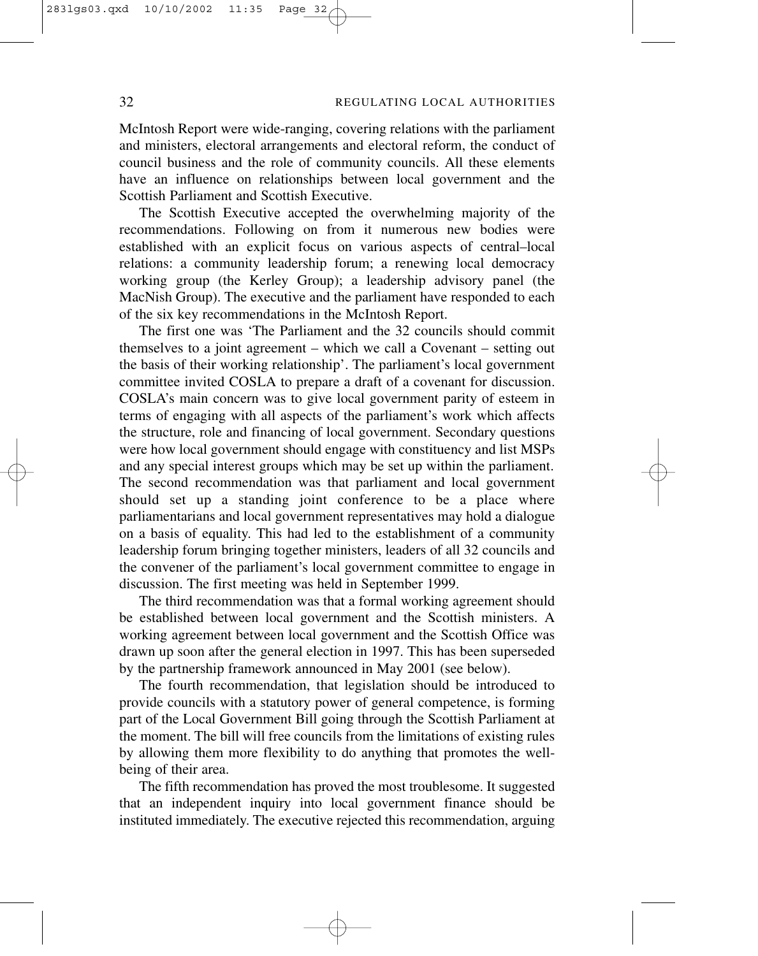McIntosh Report were wide-ranging, covering relations with the parliament and ministers, electoral arrangements and electoral reform, the conduct of council business and the role of community councils. All these elements have an influence on relationships between local government and the Scottish Parliament and Scottish Executive.

The Scottish Executive accepted the overwhelming majority of the recommendations. Following on from it numerous new bodies were established with an explicit focus on various aspects of central–local relations: a community leadership forum; a renewing local democracy working group (the Kerley Group); a leadership advisory panel (the MacNish Group). The executive and the parliament have responded to each of the six key recommendations in the McIntosh Report.

The first one was 'The Parliament and the 32 councils should commit themselves to a joint agreement – which we call a Covenant – setting out the basis of their working relationship'. The parliament's local government committee invited COSLA to prepare a draft of a covenant for discussion. COSLA's main concern was to give local government parity of esteem in terms of engaging with all aspects of the parliament's work which affects the structure, role and financing of local government. Secondary questions were how local government should engage with constituency and list MSPs and any special interest groups which may be set up within the parliament. The second recommendation was that parliament and local government should set up a standing joint conference to be a place where parliamentarians and local government representatives may hold a dialogue on a basis of equality. This had led to the establishment of a community leadership forum bringing together ministers, leaders of all 32 councils and the convener of the parliament's local government committee to engage in discussion. The first meeting was held in September 1999.

The third recommendation was that a formal working agreement should be established between local government and the Scottish ministers. A working agreement between local government and the Scottish Office was drawn up soon after the general election in 1997. This has been superseded by the partnership framework announced in May 2001 (see below).

The fourth recommendation, that legislation should be introduced to provide councils with a statutory power of general competence, is forming part of the Local Government Bill going through the Scottish Parliament at the moment. The bill will free councils from the limitations of existing rules by allowing them more flexibility to do anything that promotes the wellbeing of their area.

The fifth recommendation has proved the most troublesome. It suggested that an independent inquiry into local government finance should be instituted immediately. The executive rejected this recommendation, arguing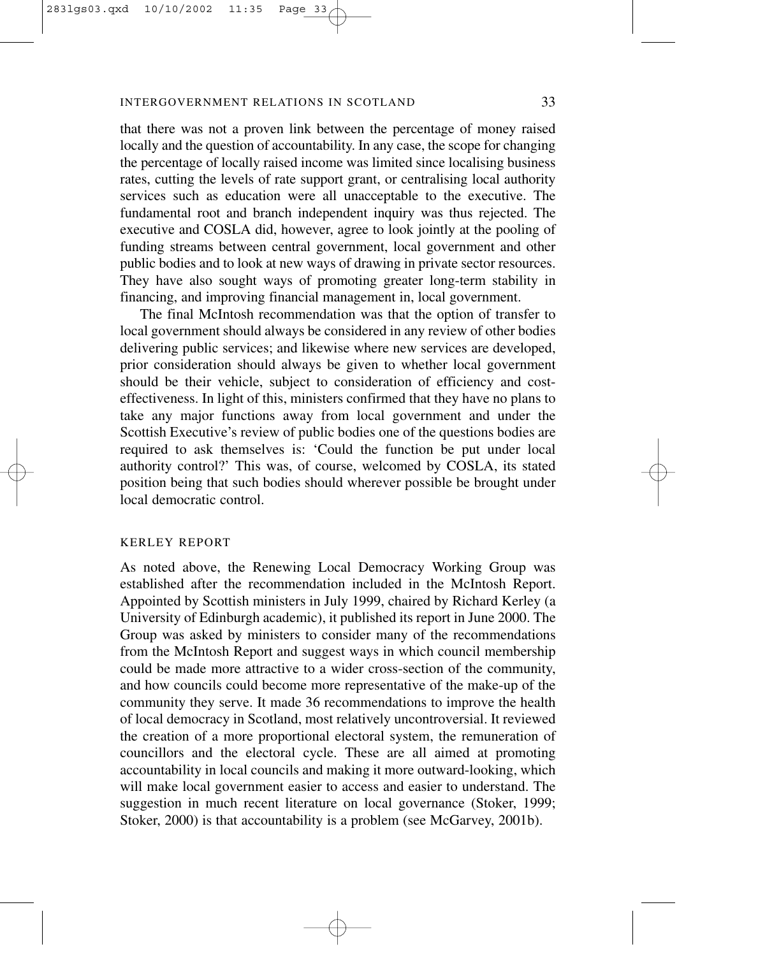that there was not a proven link between the percentage of money raised locally and the question of accountability. In any case, the scope for changing the percentage of locally raised income was limited since localising business rates, cutting the levels of rate support grant, or centralising local authority services such as education were all unacceptable to the executive. The fundamental root and branch independent inquiry was thus rejected. The executive and COSLA did, however, agree to look jointly at the pooling of funding streams between central government, local government and other public bodies and to look at new ways of drawing in private sector resources. They have also sought ways of promoting greater long-term stability in financing, and improving financial management in, local government.

The final McIntosh recommendation was that the option of transfer to local government should always be considered in any review of other bodies delivering public services; and likewise where new services are developed, prior consideration should always be given to whether local government should be their vehicle, subject to consideration of efficiency and costeffectiveness. In light of this, ministers confirmed that they have no plans to take any major functions away from local government and under the Scottish Executive's review of public bodies one of the questions bodies are required to ask themselves is: 'Could the function be put under local authority control?' This was, of course, welcomed by COSLA, its stated position being that such bodies should wherever possible be brought under local democratic control.

### KERLEY REPORT

As noted above, the Renewing Local Democracy Working Group was established after the recommendation included in the McIntosh Report. Appointed by Scottish ministers in July 1999, chaired by Richard Kerley (a University of Edinburgh academic), it published its report in June 2000. The Group was asked by ministers to consider many of the recommendations from the McIntosh Report and suggest ways in which council membership could be made more attractive to a wider cross-section of the community, and how councils could become more representative of the make-up of the community they serve. It made 36 recommendations to improve the health of local democracy in Scotland, most relatively uncontroversial. It reviewed the creation of a more proportional electoral system, the remuneration of councillors and the electoral cycle. These are all aimed at promoting accountability in local councils and making it more outward-looking, which will make local government easier to access and easier to understand. The suggestion in much recent literature on local governance (Stoker, 1999; Stoker, 2000) is that accountability is a problem (see McGarvey, 2001b).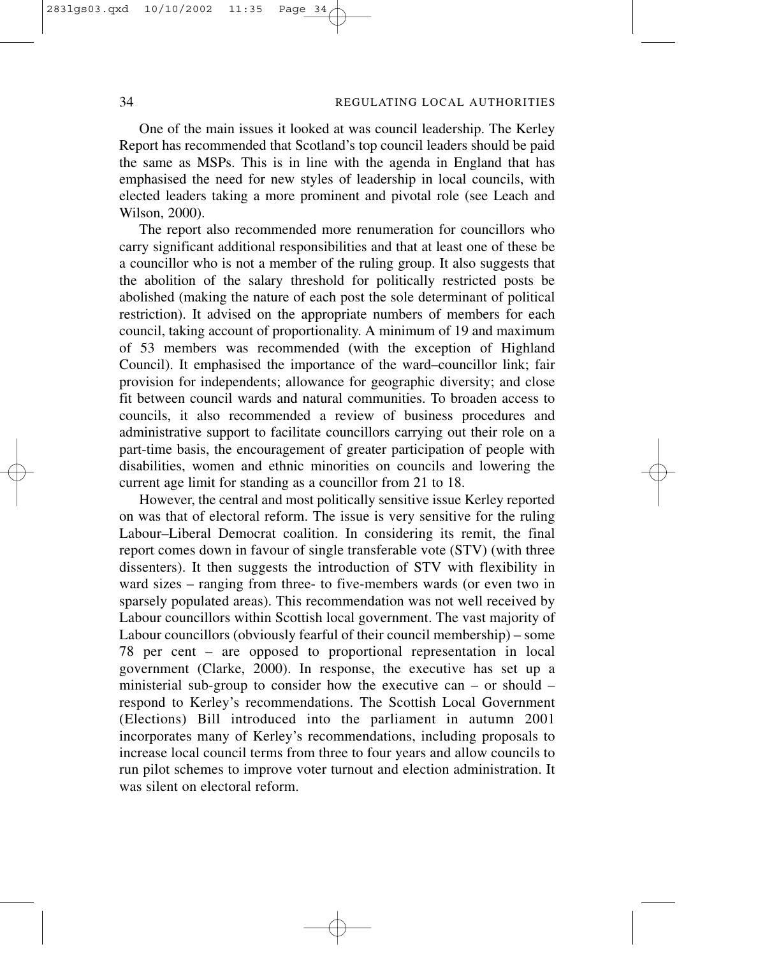One of the main issues it looked at was council leadership. The Kerley Report has recommended that Scotland's top council leaders should be paid the same as MSPs. This is in line with the agenda in England that has emphasised the need for new styles of leadership in local councils, with elected leaders taking a more prominent and pivotal role (see Leach and Wilson, 2000).

The report also recommended more renumeration for councillors who carry significant additional responsibilities and that at least one of these be a councillor who is not a member of the ruling group. It also suggests that the abolition of the salary threshold for politically restricted posts be abolished (making the nature of each post the sole determinant of political restriction). It advised on the appropriate numbers of members for each council, taking account of proportionality. A minimum of 19 and maximum of 53 members was recommended (with the exception of Highland Council). It emphasised the importance of the ward–councillor link; fair provision for independents; allowance for geographic diversity; and close fit between council wards and natural communities. To broaden access to councils, it also recommended a review of business procedures and administrative support to facilitate councillors carrying out their role on a part-time basis, the encouragement of greater participation of people with disabilities, women and ethnic minorities on councils and lowering the current age limit for standing as a councillor from 21 to 18.

However, the central and most politically sensitive issue Kerley reported on was that of electoral reform. The issue is very sensitive for the ruling Labour–Liberal Democrat coalition. In considering its remit, the final report comes down in favour of single transferable vote (STV) (with three dissenters). It then suggests the introduction of STV with flexibility in ward sizes – ranging from three- to five-members wards (or even two in sparsely populated areas). This recommendation was not well received by Labour councillors within Scottish local government. The vast majority of Labour councillors (obviously fearful of their council membership) – some 78 per cent – are opposed to proportional representation in local government (Clarke, 2000). In response, the executive has set up a ministerial sub-group to consider how the executive can  $-$  or should  $$ respond to Kerley's recommendations. The Scottish Local Government (Elections) Bill introduced into the parliament in autumn 2001 incorporates many of Kerley's recommendations, including proposals to increase local council terms from three to four years and allow councils to run pilot schemes to improve voter turnout and election administration. It was silent on electoral reform.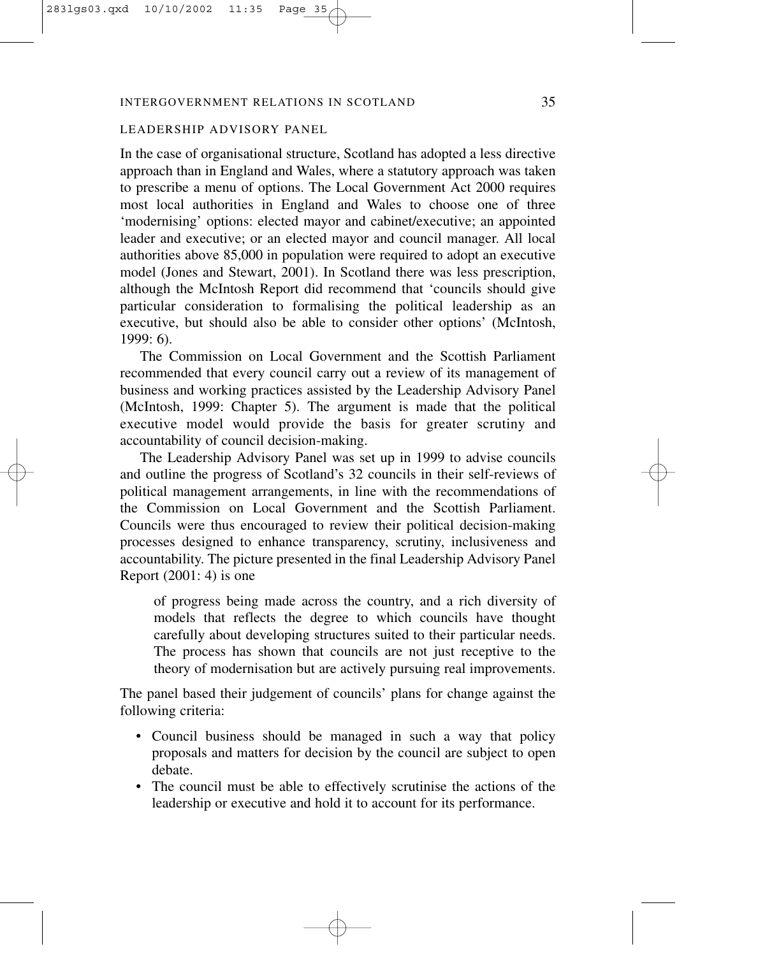### LEADERSHIP ADVISORY PANEL

283lgs03.gxd 10/10/2002

In the case of organisational structure, Scotland has adopted a less directive approach than in England and Wales, where a statutory approach was taken to prescribe a menu of options. The Local Government Act 2000 requires most local authorities in England and Wales to choose one of three 'modernising' options: elected mayor and cabinet/executive; an appointed leader and executive; or an elected mayor and council manager. All local authorities above 85,000 in population were required to adopt an executive model (Jones and Stewart, 2001). In Scotland there was less prescription, although the McIntosh Report did recommend that 'councils should give particular consideration to formalising the political leadership as an executive, but should also be able to consider other options' (McIntosh, 1999: 6).

The Commission on Local Government and the Scottish Parliament recommended that every council carry out a review of its management of business and working practices assisted by the Leadership Advisory Panel (McIntosh, 1999: Chapter 5). The argument is made that the political executive model would provide the basis for greater scrutiny and accountability of council decision-making.

The Leadership Advisory Panel was set up in 1999 to advise councils and outline the progress of Scotland's 32 councils in their self-reviews of political management arrangements, in line with the recommendations of the Commission on Local Government and the Scottish Parliament. Councils were thus encouraged to review their political decision-making processes designed to enhance transparency, scrutiny, inclusiveness and accountability. The picture presented in the final Leadership Advisory Panel Report (2001: 4) is one

of progress being made across the country, and a rich diversity of models that reflects the degree to which councils have thought carefully about developing structures suited to their particular needs. The process has shown that councils are not just receptive to the theory of modernisation but are actively pursuing real improvements.

The panel based their judgement of councils' plans for change against the following criteria:

- Council business should be managed in such a way that policy proposals and matters for decision by the council are subject to open debate.
- The council must be able to effectively scrutinise the actions of the leadership or executive and hold it to account for its performance.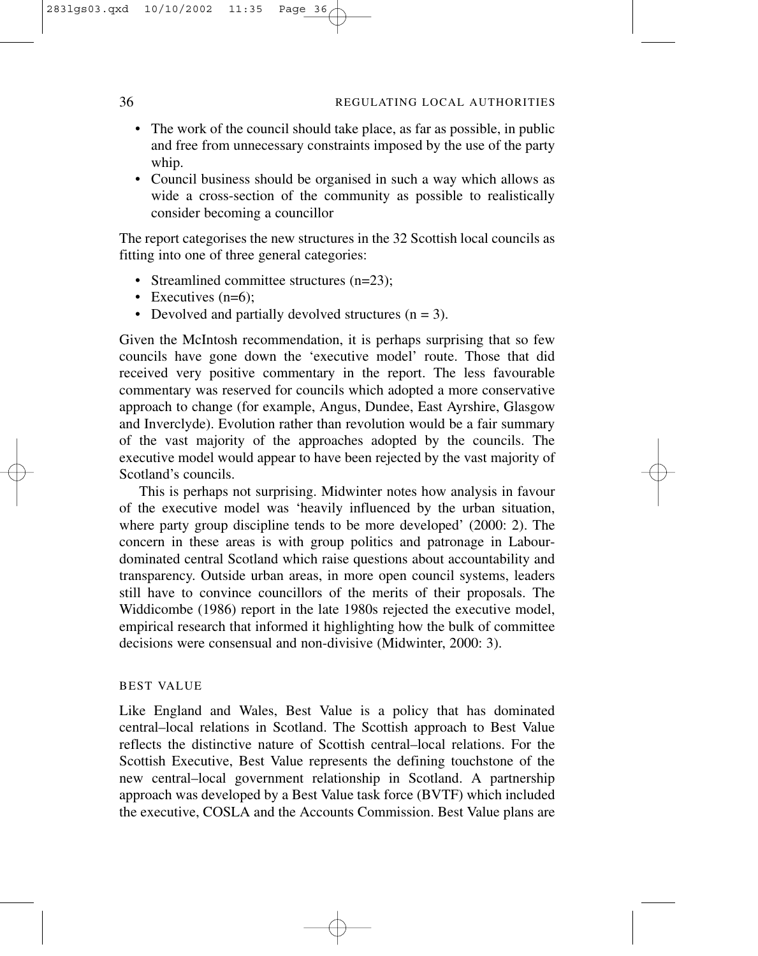- The work of the council should take place, as far as possible, in public and free from unnecessary constraints imposed by the use of the party whip.
- Council business should be organised in such a way which allows as wide a cross-section of the community as possible to realistically consider becoming a councillor

The report categorises the new structures in the 32 Scottish local councils as fitting into one of three general categories:

- Streamlined committee structures (n=23);
- Executives (n=6);
- Devolved and partially devolved structures  $(n = 3)$ .

Given the McIntosh recommendation, it is perhaps surprising that so few councils have gone down the 'executive model' route. Those that did received very positive commentary in the report. The less favourable commentary was reserved for councils which adopted a more conservative approach to change (for example, Angus, Dundee, East Ayrshire, Glasgow and Inverclyde). Evolution rather than revolution would be a fair summary of the vast majority of the approaches adopted by the councils. The executive model would appear to have been rejected by the vast majority of Scotland's councils.

This is perhaps not surprising. Midwinter notes how analysis in favour of the executive model was 'heavily influenced by the urban situation, where party group discipline tends to be more developed' (2000: 2). The concern in these areas is with group politics and patronage in Labourdominated central Scotland which raise questions about accountability and transparency. Outside urban areas, in more open council systems, leaders still have to convince councillors of the merits of their proposals. The Widdicombe (1986) report in the late 1980s rejected the executive model, empirical research that informed it highlighting how the bulk of committee decisions were consensual and non-divisive (Midwinter, 2000: 3).

### BEST VALUE

Like England and Wales, Best Value is a policy that has dominated central–local relations in Scotland. The Scottish approach to Best Value reflects the distinctive nature of Scottish central–local relations. For the Scottish Executive, Best Value represents the defining touchstone of the new central–local government relationship in Scotland. A partnership approach was developed by a Best Value task force (BVTF) which included the executive, COSLA and the Accounts Commission. Best Value plans are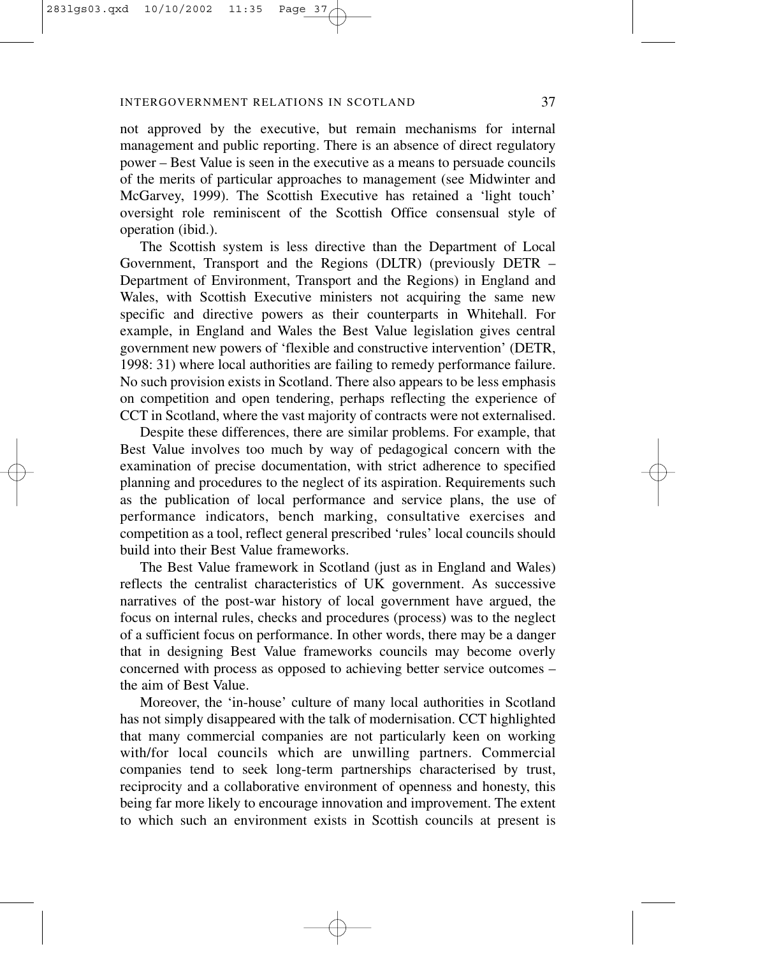10/10/2002

not approved by the executive, but remain mechanisms for internal management and public reporting. There is an absence of direct regulatory power – Best Value is seen in the executive as a means to persuade councils of the merits of particular approaches to management (see Midwinter and McGarvey, 1999). The Scottish Executive has retained a 'light touch' oversight role reminiscent of the Scottish Office consensual style of operation (ibid.).

The Scottish system is less directive than the Department of Local Government, Transport and the Regions (DLTR) (previously DETR – Department of Environment, Transport and the Regions) in England and Wales, with Scottish Executive ministers not acquiring the same new specific and directive powers as their counterparts in Whitehall. For example, in England and Wales the Best Value legislation gives central government new powers of 'flexible and constructive intervention' (DETR, 1998: 31) where local authorities are failing to remedy performance failure. No such provision exists in Scotland. There also appears to be less emphasis on competition and open tendering, perhaps reflecting the experience of CCT in Scotland, where the vast majority of contracts were not externalised.

Despite these differences, there are similar problems. For example, that Best Value involves too much by way of pedagogical concern with the examination of precise documentation, with strict adherence to specified planning and procedures to the neglect of its aspiration. Requirements such as the publication of local performance and service plans, the use of performance indicators, bench marking, consultative exercises and competition as a tool, reflect general prescribed 'rules' local councils should build into their Best Value frameworks.

The Best Value framework in Scotland (just as in England and Wales) reflects the centralist characteristics of UK government. As successive narratives of the post-war history of local government have argued, the focus on internal rules, checks and procedures (process) was to the neglect of a sufficient focus on performance. In other words, there may be a danger that in designing Best Value frameworks councils may become overly concerned with process as opposed to achieving better service outcomes – the aim of Best Value.

Moreover, the 'in-house' culture of many local authorities in Scotland has not simply disappeared with the talk of modernisation. CCT highlighted that many commercial companies are not particularly keen on working with/for local councils which are unwilling partners. Commercial companies tend to seek long-term partnerships characterised by trust, reciprocity and a collaborative environment of openness and honesty, this being far more likely to encourage innovation and improvement. The extent to which such an environment exists in Scottish councils at present is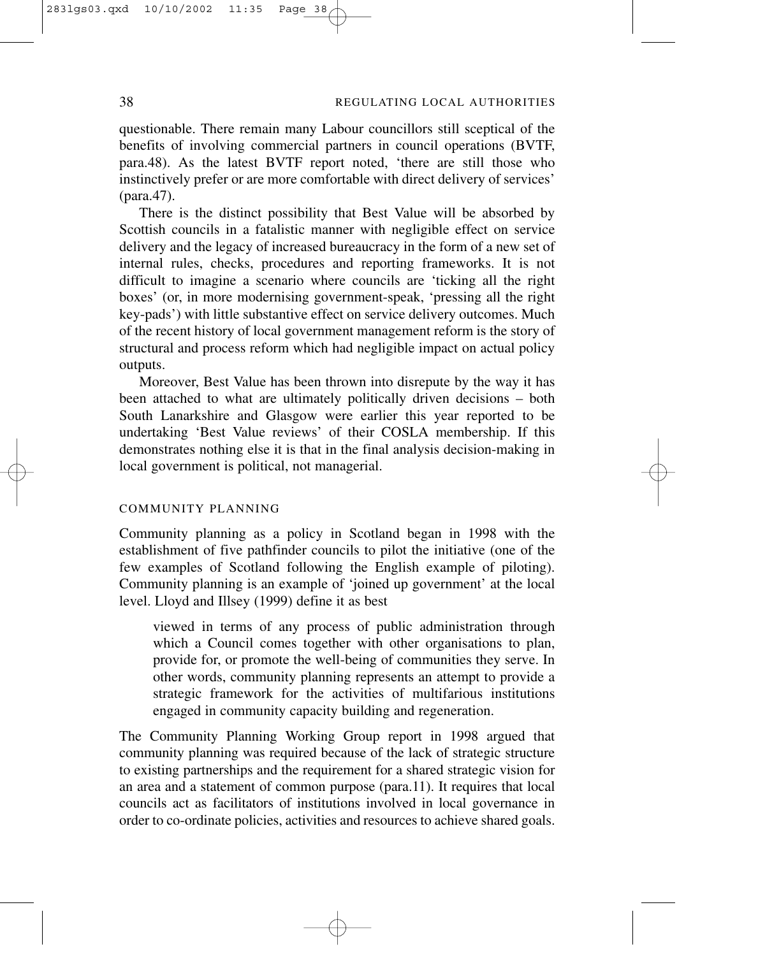questionable. There remain many Labour councillors still sceptical of the benefits of involving commercial partners in council operations (BVTF, para.48). As the latest BVTF report noted, 'there are still those who instinctively prefer or are more comfortable with direct delivery of services' (para.47).

There is the distinct possibility that Best Value will be absorbed by Scottish councils in a fatalistic manner with negligible effect on service delivery and the legacy of increased bureaucracy in the form of a new set of internal rules, checks, procedures and reporting frameworks. It is not difficult to imagine a scenario where councils are 'ticking all the right boxes' (or, in more modernising government-speak, 'pressing all the right key-pads') with little substantive effect on service delivery outcomes. Much of the recent history of local government management reform is the story of structural and process reform which had negligible impact on actual policy outputs.

Moreover, Best Value has been thrown into disrepute by the way it has been attached to what are ultimately politically driven decisions – both South Lanarkshire and Glasgow were earlier this year reported to be undertaking 'Best Value reviews' of their COSLA membership. If this demonstrates nothing else it is that in the final analysis decision-making in local government is political, not managerial.

### COMMUNITY PLANNING

Community planning as a policy in Scotland began in 1998 with the establishment of five pathfinder councils to pilot the initiative (one of the few examples of Scotland following the English example of piloting). Community planning is an example of 'joined up government' at the local level. Lloyd and Illsey (1999) define it as best

viewed in terms of any process of public administration through which a Council comes together with other organisations to plan, provide for, or promote the well-being of communities they serve. In other words, community planning represents an attempt to provide a strategic framework for the activities of multifarious institutions engaged in community capacity building and regeneration.

The Community Planning Working Group report in 1998 argued that community planning was required because of the lack of strategic structure to existing partnerships and the requirement for a shared strategic vision for an area and a statement of common purpose (para.11). It requires that local councils act as facilitators of institutions involved in local governance in order to co-ordinate policies, activities and resources to achieve shared goals.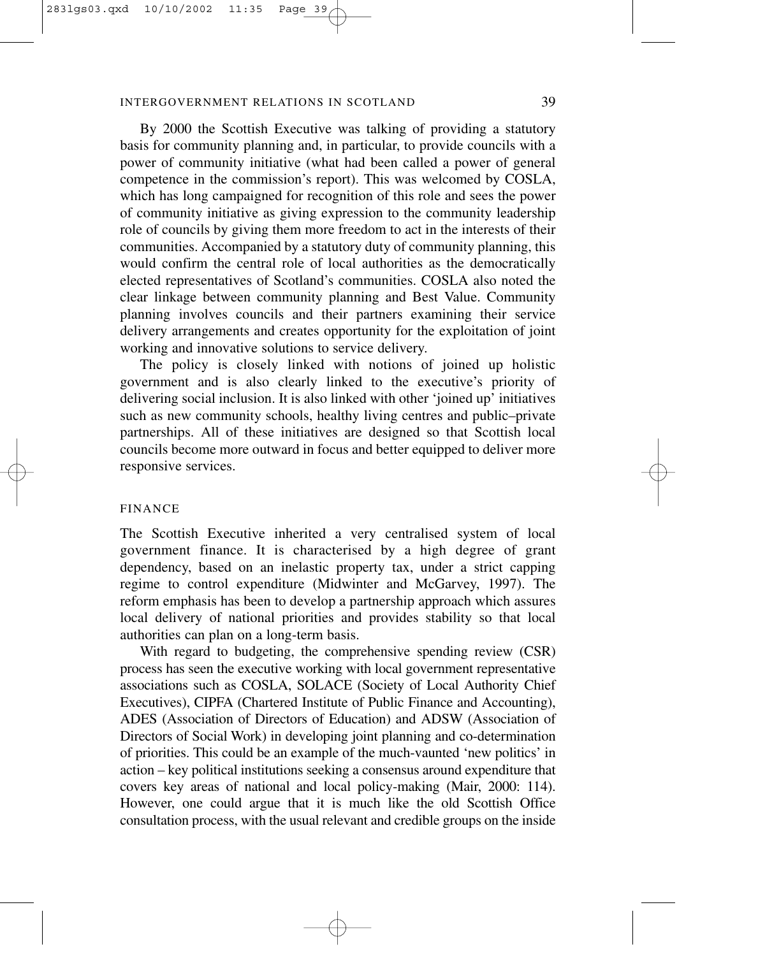By 2000 the Scottish Executive was talking of providing a statutory basis for community planning and, in particular, to provide councils with a power of community initiative (what had been called a power of general competence in the commission's report). This was welcomed by COSLA, which has long campaigned for recognition of this role and sees the power of community initiative as giving expression to the community leadership role of councils by giving them more freedom to act in the interests of their communities. Accompanied by a statutory duty of community planning, this would confirm the central role of local authorities as the democratically elected representatives of Scotland's communities. COSLA also noted the clear linkage between community planning and Best Value. Community planning involves councils and their partners examining their service delivery arrangements and creates opportunity for the exploitation of joint working and innovative solutions to service delivery.

The policy is closely linked with notions of joined up holistic government and is also clearly linked to the executive's priority of delivering social inclusion. It is also linked with other 'joined up' initiatives such as new community schools, healthy living centres and public–private partnerships. All of these initiatives are designed so that Scottish local councils become more outward in focus and better equipped to deliver more responsive services.

### FINANCE

The Scottish Executive inherited a very centralised system of local government finance. It is characterised by a high degree of grant dependency, based on an inelastic property tax, under a strict capping regime to control expenditure (Midwinter and McGarvey, 1997). The reform emphasis has been to develop a partnership approach which assures local delivery of national priorities and provides stability so that local authorities can plan on a long-term basis.

With regard to budgeting, the comprehensive spending review (CSR) process has seen the executive working with local government representative associations such as COSLA, SOLACE (Society of Local Authority Chief Executives), CIPFA (Chartered Institute of Public Finance and Accounting), ADES (Association of Directors of Education) and ADSW (Association of Directors of Social Work) in developing joint planning and co-determination of priorities. This could be an example of the much-vaunted 'new politics' in action – key political institutions seeking a consensus around expenditure that covers key areas of national and local policy-making (Mair, 2000: 114). However, one could argue that it is much like the old Scottish Office consultation process, with the usual relevant and credible groups on the inside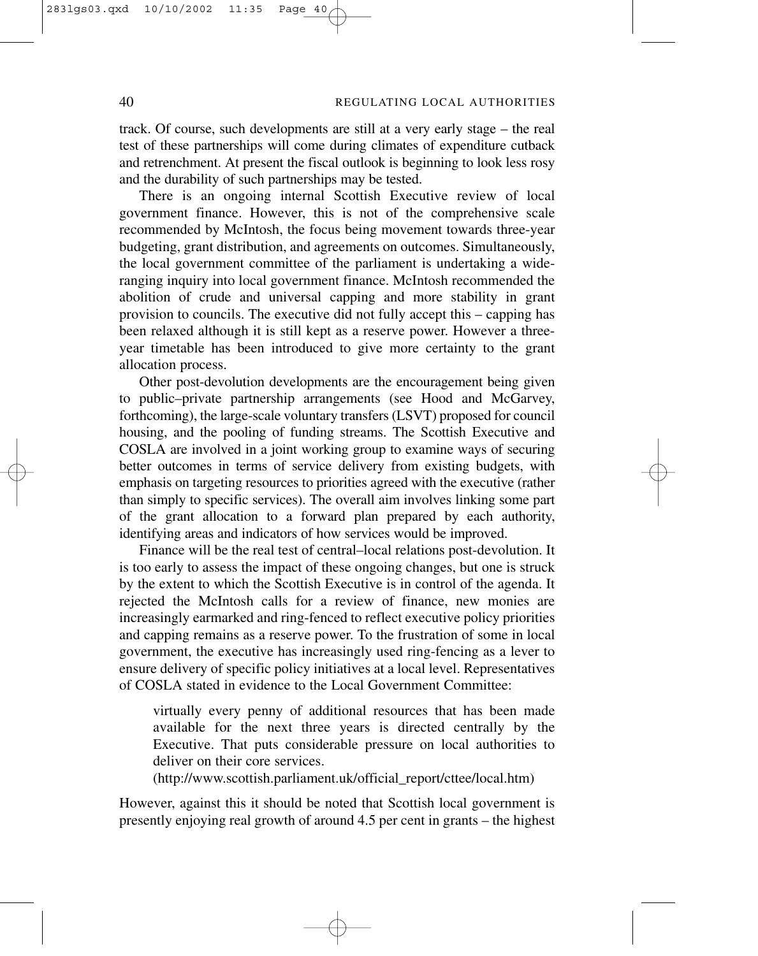track. Of course, such developments are still at a very early stage – the real test of these partnerships will come during climates of expenditure cutback and retrenchment. At present the fiscal outlook is beginning to look less rosy and the durability of such partnerships may be tested.

There is an ongoing internal Scottish Executive review of local government finance. However, this is not of the comprehensive scale recommended by McIntosh, the focus being movement towards three-year budgeting, grant distribution, and agreements on outcomes. Simultaneously, the local government committee of the parliament is undertaking a wideranging inquiry into local government finance. McIntosh recommended the abolition of crude and universal capping and more stability in grant provision to councils. The executive did not fully accept this – capping has been relaxed although it is still kept as a reserve power. However a threeyear timetable has been introduced to give more certainty to the grant allocation process.

Other post-devolution developments are the encouragement being given to public–private partnership arrangements (see Hood and McGarvey, forthcoming), the large-scale voluntary transfers (LSVT) proposed for council housing, and the pooling of funding streams. The Scottish Executive and COSLA are involved in a joint working group to examine ways of securing better outcomes in terms of service delivery from existing budgets, with emphasis on targeting resources to priorities agreed with the executive (rather than simply to specific services). The overall aim involves linking some part of the grant allocation to a forward plan prepared by each authority, identifying areas and indicators of how services would be improved.

Finance will be the real test of central–local relations post-devolution. It is too early to assess the impact of these ongoing changes, but one is struck by the extent to which the Scottish Executive is in control of the agenda. It rejected the McIntosh calls for a review of finance, new monies are increasingly earmarked and ring-fenced to reflect executive policy priorities and capping remains as a reserve power. To the frustration of some in local government, the executive has increasingly used ring-fencing as a lever to ensure delivery of specific policy initiatives at a local level. Representatives of COSLA stated in evidence to the Local Government Committee:

virtually every penny of additional resources that has been made available for the next three years is directed centrally by the Executive. That puts considerable pressure on local authorities to deliver on their core services.

(http://www.scottish.parliament.uk/official\_report/cttee/local.htm)

However, against this it should be noted that Scottish local government is presently enjoying real growth of around 4.5 per cent in grants – the highest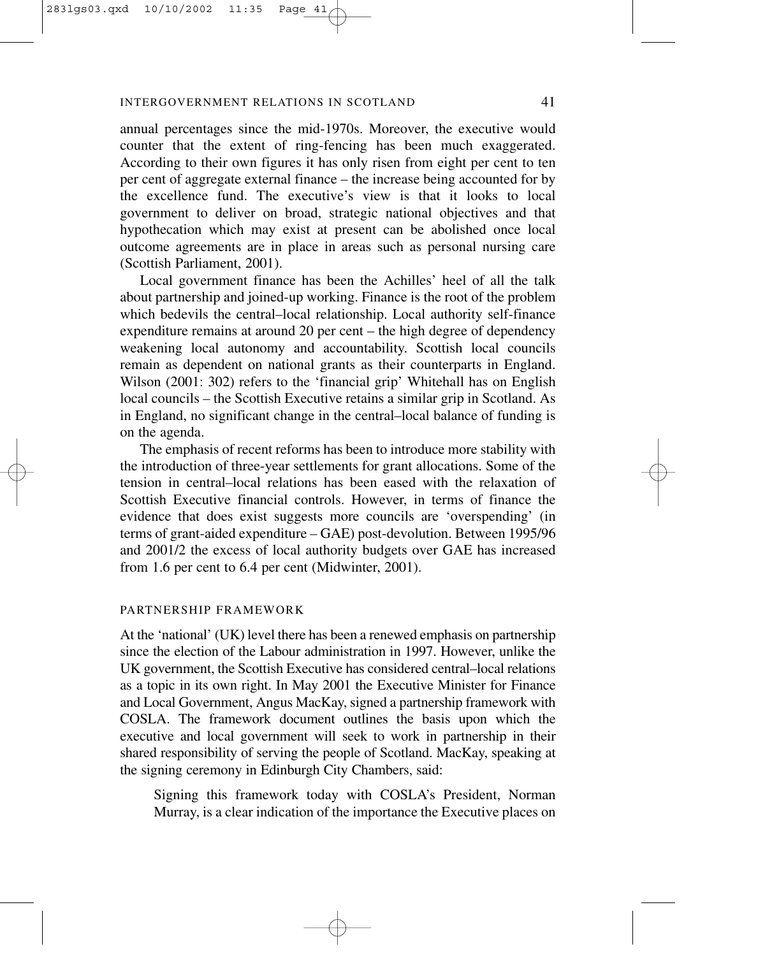annual percentages since the mid-1970s. Moreover, the executive would counter that the extent of ring-fencing has been much exaggerated. According to their own figures it has only risen from eight per cent to ten per cent of aggregate external finance – the increase being accounted for by the excellence fund. The executive's view is that it looks to local government to deliver on broad, strategic national objectives and that hypothecation which may exist at present can be abolished once local outcome agreements are in place in areas such as personal nursing care (Scottish Parliament, 2001).

Local government finance has been the Achilles' heel of all the talk about partnership and joined-up working. Finance is the root of the problem which bedevils the central–local relationship. Local authority self-finance expenditure remains at around 20 per cent – the high degree of dependency weakening local autonomy and accountability. Scottish local councils remain as dependent on national grants as their counterparts in England. Wilson (2001: 302) refers to the 'financial grip' Whitehall has on English local councils – the Scottish Executive retains a similar grip in Scotland. As in England, no significant change in the central–local balance of funding is on the agenda.

The emphasis of recent reforms has been to introduce more stability with the introduction of three-year settlements for grant allocations. Some of the tension in central–local relations has been eased with the relaxation of Scottish Executive financial controls. However, in terms of finance the evidence that does exist suggests more councils are 'overspending' (in terms of grant-aided expenditure – GAE) post-devolution. Between 1995/96 and 2001/2 the excess of local authority budgets over GAE has increased from 1.6 per cent to 6.4 per cent (Midwinter, 2001).

# PARTNERSHIP FRAMEWORK

At the 'national' (UK) level there has been a renewed emphasis on partnership since the election of the Labour administration in 1997. However, unlike the UK government, the Scottish Executive has considered central–local relations as a topic in its own right. In May 2001 the Executive Minister for Finance and Local Government, Angus MacKay, signed a partnership framework with COSLA. The framework document outlines the basis upon which the executive and local government will seek to work in partnership in their shared responsibility of serving the people of Scotland. MacKay, speaking at the signing ceremony in Edinburgh City Chambers, said:

Signing this framework today with COSLA's President, Norman Murray, is a clear indication of the importance the Executive places on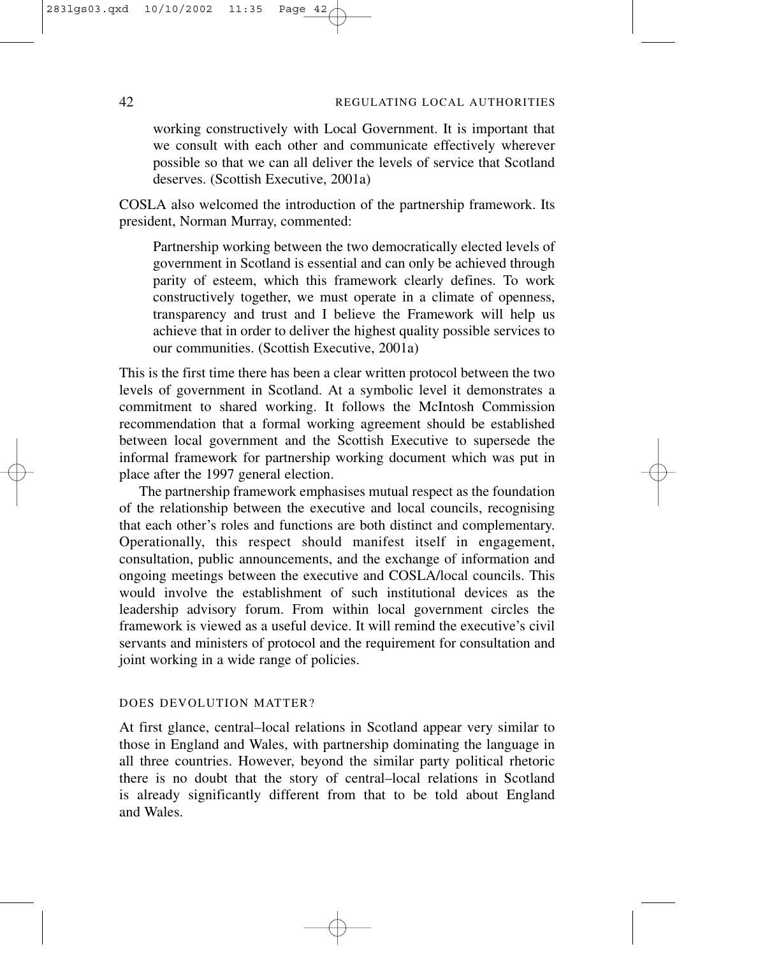working constructively with Local Government. It is important that we consult with each other and communicate effectively wherever possible so that we can all deliver the levels of service that Scotland deserves. (Scottish Executive, 2001a)

COSLA also welcomed the introduction of the partnership framework. Its president, Norman Murray, commented:

Partnership working between the two democratically elected levels of government in Scotland is essential and can only be achieved through parity of esteem, which this framework clearly defines. To work constructively together, we must operate in a climate of openness, transparency and trust and I believe the Framework will help us achieve that in order to deliver the highest quality possible services to our communities. (Scottish Executive, 2001a)

This is the first time there has been a clear written protocol between the two levels of government in Scotland. At a symbolic level it demonstrates a commitment to shared working. It follows the McIntosh Commission recommendation that a formal working agreement should be established between local government and the Scottish Executive to supersede the informal framework for partnership working document which was put in place after the 1997 general election.

The partnership framework emphasises mutual respect as the foundation of the relationship between the executive and local councils, recognising that each other's roles and functions are both distinct and complementary. Operationally, this respect should manifest itself in engagement, consultation, public announcements, and the exchange of information and ongoing meetings between the executive and COSLA/local councils. This would involve the establishment of such institutional devices as the leadership advisory forum. From within local government circles the framework is viewed as a useful device. It will remind the executive's civil servants and ministers of protocol and the requirement for consultation and joint working in a wide range of policies.

### DOES DEVOLUTION MATTER?

At first glance, central–local relations in Scotland appear very similar to those in England and Wales, with partnership dominating the language in all three countries. However, beyond the similar party political rhetoric there is no doubt that the story of central–local relations in Scotland is already significantly different from that to be told about England and Wales.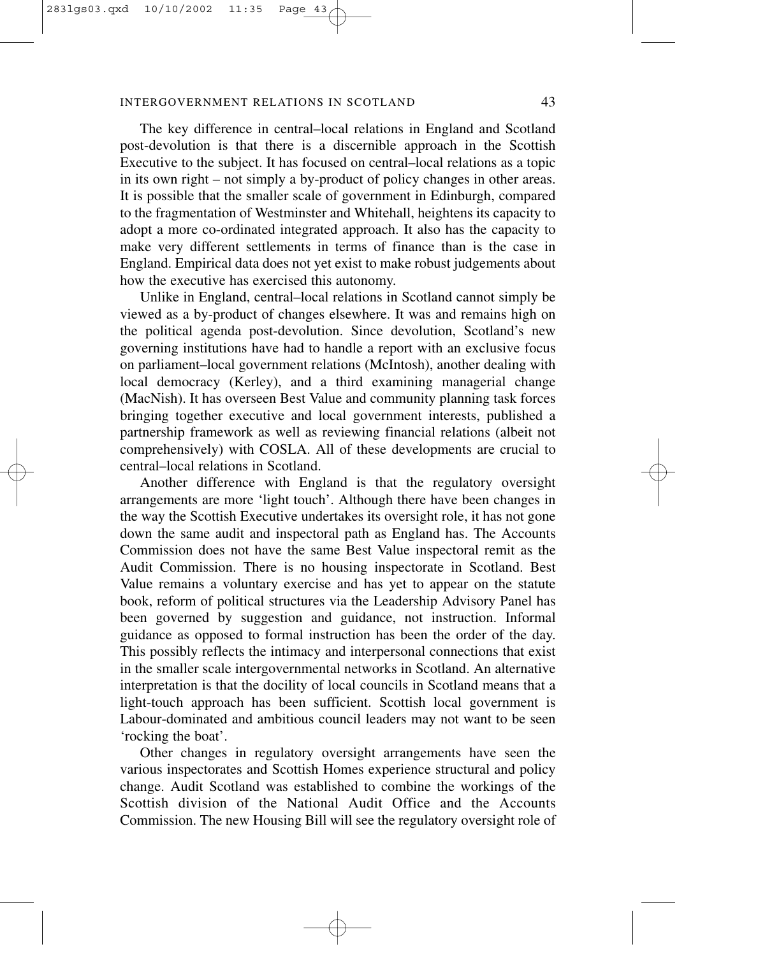The key difference in central–local relations in England and Scotland post-devolution is that there is a discernible approach in the Scottish Executive to the subject. It has focused on central–local relations as a topic in its own right – not simply a by-product of policy changes in other areas. It is possible that the smaller scale of government in Edinburgh, compared to the fragmentation of Westminster and Whitehall, heightens its capacity to adopt a more co-ordinated integrated approach. It also has the capacity to make very different settlements in terms of finance than is the case in England. Empirical data does not yet exist to make robust judgements about how the executive has exercised this autonomy.

Unlike in England, central–local relations in Scotland cannot simply be viewed as a by-product of changes elsewhere. It was and remains high on the political agenda post-devolution. Since devolution, Scotland's new governing institutions have had to handle a report with an exclusive focus on parliament–local government relations (McIntosh), another dealing with local democracy (Kerley), and a third examining managerial change (MacNish). It has overseen Best Value and community planning task forces bringing together executive and local government interests, published a partnership framework as well as reviewing financial relations (albeit not comprehensively) with COSLA. All of these developments are crucial to central–local relations in Scotland.

Another difference with England is that the regulatory oversight arrangements are more 'light touch'. Although there have been changes in the way the Scottish Executive undertakes its oversight role, it has not gone down the same audit and inspectoral path as England has. The Accounts Commission does not have the same Best Value inspectoral remit as the Audit Commission. There is no housing inspectorate in Scotland. Best Value remains a voluntary exercise and has yet to appear on the statute book, reform of political structures via the Leadership Advisory Panel has been governed by suggestion and guidance, not instruction. Informal guidance as opposed to formal instruction has been the order of the day. This possibly reflects the intimacy and interpersonal connections that exist in the smaller scale intergovernmental networks in Scotland. An alternative interpretation is that the docility of local councils in Scotland means that a light-touch approach has been sufficient. Scottish local government is Labour-dominated and ambitious council leaders may not want to be seen 'rocking the boat'.

Other changes in regulatory oversight arrangements have seen the various inspectorates and Scottish Homes experience structural and policy change. Audit Scotland was established to combine the workings of the Scottish division of the National Audit Office and the Accounts Commission. The new Housing Bill will see the regulatory oversight role of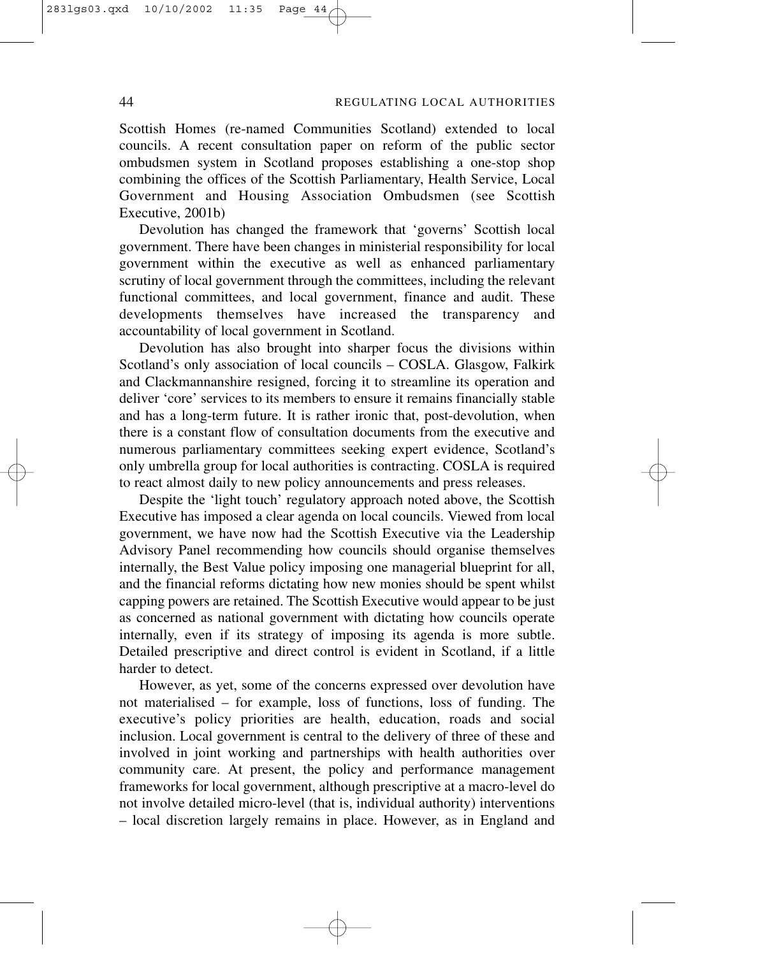Scottish Homes (re-named Communities Scotland) extended to local councils. A recent consultation paper on reform of the public sector ombudsmen system in Scotland proposes establishing a one-stop shop combining the offices of the Scottish Parliamentary, Health Service, Local Government and Housing Association Ombudsmen (see Scottish Executive, 2001b)

Devolution has changed the framework that 'governs' Scottish local government. There have been changes in ministerial responsibility for local government within the executive as well as enhanced parliamentary scrutiny of local government through the committees, including the relevant functional committees, and local government, finance and audit. These developments themselves have increased the transparency and accountability of local government in Scotland.

Devolution has also brought into sharper focus the divisions within Scotland's only association of local councils – COSLA. Glasgow, Falkirk and Clackmannanshire resigned, forcing it to streamline its operation and deliver 'core' services to its members to ensure it remains financially stable and has a long-term future. It is rather ironic that, post-devolution, when there is a constant flow of consultation documents from the executive and numerous parliamentary committees seeking expert evidence, Scotland's only umbrella group for local authorities is contracting. COSLA is required to react almost daily to new policy announcements and press releases.

Despite the 'light touch' regulatory approach noted above, the Scottish Executive has imposed a clear agenda on local councils. Viewed from local government, we have now had the Scottish Executive via the Leadership Advisory Panel recommending how councils should organise themselves internally, the Best Value policy imposing one managerial blueprint for all, and the financial reforms dictating how new monies should be spent whilst capping powers are retained. The Scottish Executive would appear to be just as concerned as national government with dictating how councils operate internally, even if its strategy of imposing its agenda is more subtle. Detailed prescriptive and direct control is evident in Scotland, if a little harder to detect.

However, as yet, some of the concerns expressed over devolution have not materialised – for example, loss of functions, loss of funding. The executive's policy priorities are health, education, roads and social inclusion. Local government is central to the delivery of three of these and involved in joint working and partnerships with health authorities over community care. At present, the policy and performance management frameworks for local government, although prescriptive at a macro-level do not involve detailed micro-level (that is, individual authority) interventions – local discretion largely remains in place. However, as in England and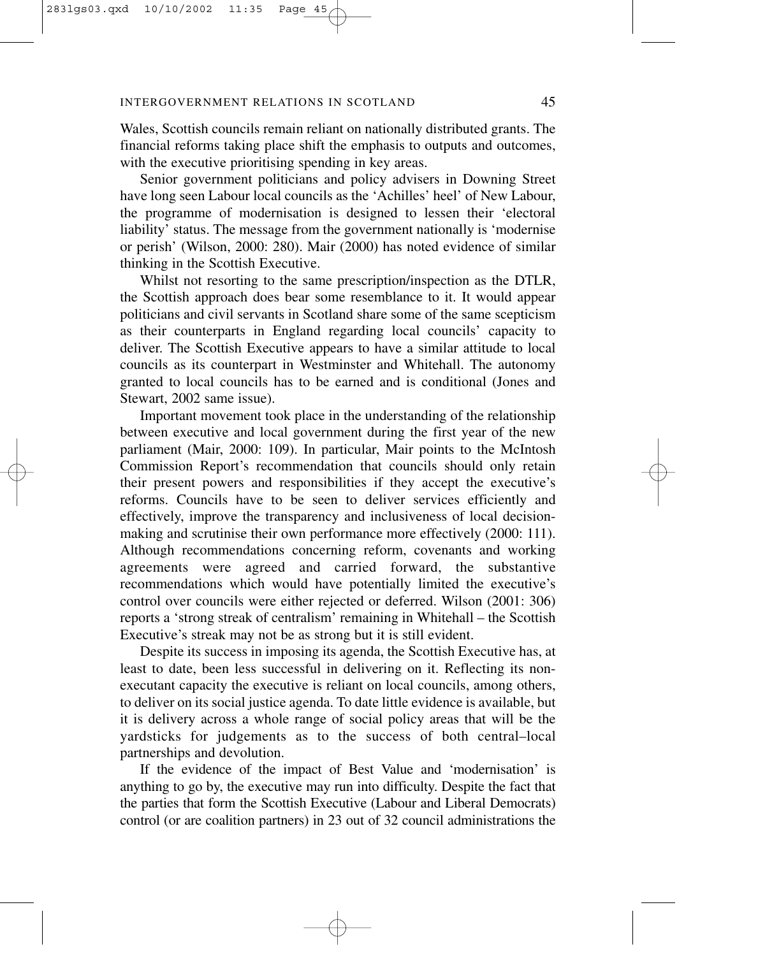10/10/2002

Wales, Scottish councils remain reliant on nationally distributed grants. The financial reforms taking place shift the emphasis to outputs and outcomes, with the executive prioritising spending in key areas.

Senior government politicians and policy advisers in Downing Street have long seen Labour local councils as the 'Achilles' heel' of New Labour, the programme of modernisation is designed to lessen their 'electoral liability' status. The message from the government nationally is 'modernise or perish' (Wilson, 2000: 280). Mair (2000) has noted evidence of similar thinking in the Scottish Executive.

Whilst not resorting to the same prescription/inspection as the DTLR, the Scottish approach does bear some resemblance to it. It would appear politicians and civil servants in Scotland share some of the same scepticism as their counterparts in England regarding local councils' capacity to deliver. The Scottish Executive appears to have a similar attitude to local councils as its counterpart in Westminster and Whitehall. The autonomy granted to local councils has to be earned and is conditional (Jones and Stewart, 2002 same issue).

Important movement took place in the understanding of the relationship between executive and local government during the first year of the new parliament (Mair, 2000: 109). In particular, Mair points to the McIntosh Commission Report's recommendation that councils should only retain their present powers and responsibilities if they accept the executive's reforms. Councils have to be seen to deliver services efficiently and effectively, improve the transparency and inclusiveness of local decisionmaking and scrutinise their own performance more effectively (2000: 111). Although recommendations concerning reform, covenants and working agreements were agreed and carried forward, the substantive recommendations which would have potentially limited the executive's control over councils were either rejected or deferred. Wilson (2001: 306) reports a 'strong streak of centralism' remaining in Whitehall – the Scottish Executive's streak may not be as strong but it is still evident.

Despite its success in imposing its agenda, the Scottish Executive has, at least to date, been less successful in delivering on it. Reflecting its nonexecutant capacity the executive is reliant on local councils, among others, to deliver on its social justice agenda. To date little evidence is available, but it is delivery across a whole range of social policy areas that will be the yardsticks for judgements as to the success of both central–local partnerships and devolution.

If the evidence of the impact of Best Value and 'modernisation' is anything to go by, the executive may run into difficulty. Despite the fact that the parties that form the Scottish Executive (Labour and Liberal Democrats) control (or are coalition partners) in 23 out of 32 council administrations the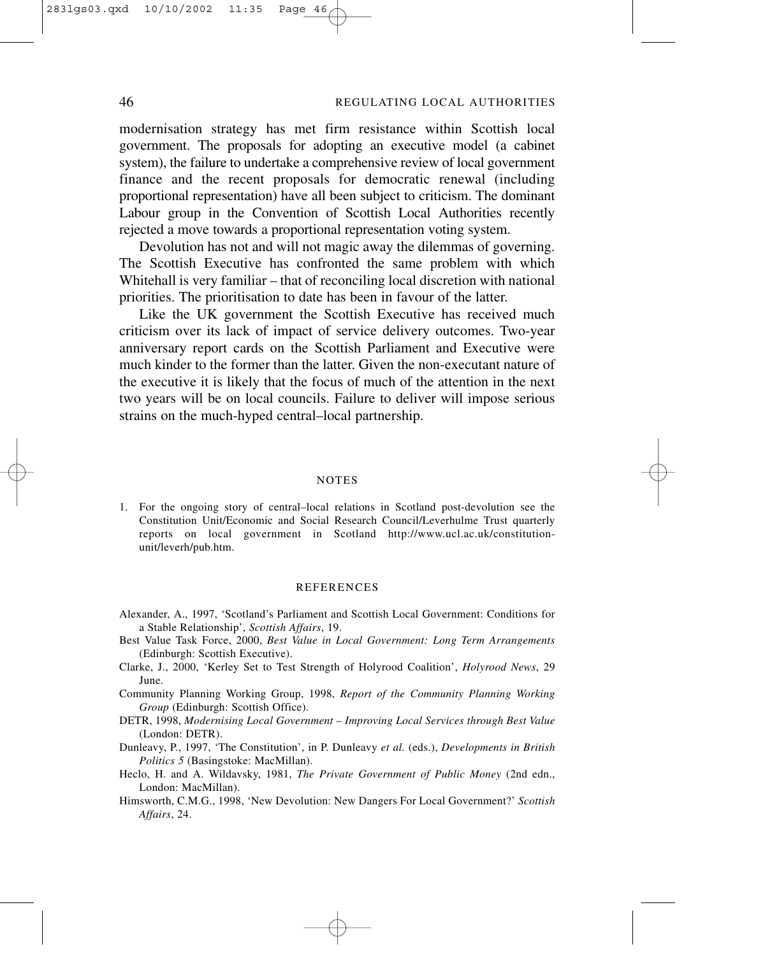modernisation strategy has met firm resistance within Scottish local government. The proposals for adopting an executive model (a cabinet system), the failure to undertake a comprehensive review of local government finance and the recent proposals for democratic renewal (including proportional representation) have all been subject to criticism. The dominant Labour group in the Convention of Scottish Local Authorities recently rejected a move towards a proportional representation voting system.

Devolution has not and will not magic away the dilemmas of governing. The Scottish Executive has confronted the same problem with which Whitehall is very familiar – that of reconciling local discretion with national priorities. The prioritisation to date has been in favour of the latter.

Like the UK government the Scottish Executive has received much criticism over its lack of impact of service delivery outcomes. Two-year anniversary report cards on the Scottish Parliament and Executive were much kinder to the former than the latter. Given the non-executant nature of the executive it is likely that the focus of much of the attention in the next two years will be on local councils. Failure to deliver will impose serious strains on the much-hyped central–local partnership.

### NOTES

1. For the ongoing story of central–local relations in Scotland post-devolution see the Constitution Unit/Economic and Social Research Council/Leverhulme Trust quarterly reports on local government in Scotland http://www.ucl.ac.uk/constitutionunit/leverh/pub.htm.

### REFERENCES

- Alexander, A., 1997, 'Scotland's Parliament and Scottish Local Government: Conditions for a Stable Relationship', *Scottish Affairs*, 19.
- Best Value Task Force, 2000, *Best Value in Local Government: Long Term Arrangements* (Edinburgh: Scottish Executive).
- Clarke, J., 2000, 'Kerley Set to Test Strength of Holyrood Coalition', *Holyrood News*, 29 June.
- Community Planning Working Group, 1998, *Report of the Community Planning Working Group* (Edinburgh: Scottish Office).
- DETR, 1998, *Modernising Local Government Improving Local Services through Best Value* (London: DETR).
- Dunleavy, P., 1997, 'The Constitution', in P. Dunleavy *et al.* (eds.), *Developments in British Politics 5* (Basingstoke: MacMillan).
- Heclo, H. and A. Wildavsky, 1981, *The Private Government of Public Money* (2nd edn., London: MacMillan).
- Himsworth, C.M.G., 1998, 'New Devolution: New Dangers For Local Government?' *Scottish Affairs*, 24.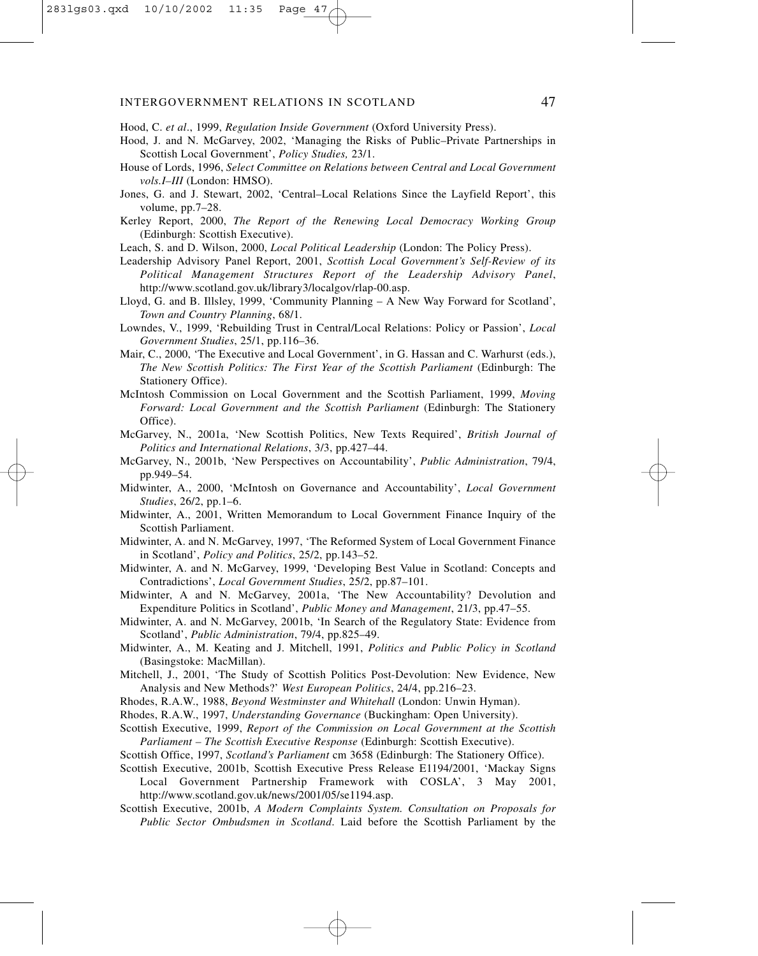283lgs03.gxd 10/10/2002

Hood, C. *et al*., 1999, *Regulation Inside Government* (Oxford University Press).

- Hood, J. and N. McGarvey, 2002, 'Managing the Risks of Public–Private Partnerships in Scottish Local Government', *Policy Studies,* 23/1.
- House of Lords, 1996, *Select Committee on Relations between Central and Local Government vols.I–III* (London: HMSO).
- Jones, G. and J. Stewart, 2002, 'Central–Local Relations Since the Layfield Report', this volume, pp.7–28.
- Kerley Report, 2000, *The Report of the Renewing Local Democracy Working Group* (Edinburgh: Scottish Executive).

Leach, S. and D. Wilson, 2000, *Local Political Leadership* (London: The Policy Press).

- Leadership Advisory Panel Report, 2001, *Scottish Local Government's Self-Review of its Political Management Structures Report of the Leadership Advisory Panel*, http://www.scotland.gov.uk/library3/localgov/rlap-00.asp.
- Lloyd, G. and B. Illsley, 1999, 'Community Planning A New Way Forward for Scotland', *Town and Country Planning*, 68/1.
- Lowndes, V., 1999, 'Rebuilding Trust in Central/Local Relations: Policy or Passion', *Local Government Studies*, 25/1, pp.116–36.
- Mair, C., 2000, 'The Executive and Local Government', in G. Hassan and C. Warhurst (eds.), *The New Scottish Politics: The First Year of the Scottish Parliament* (Edinburgh: The Stationery Office).
- McIntosh Commission on Local Government and the Scottish Parliament, 1999, *Moving Forward: Local Government and the Scottish Parliament* (Edinburgh: The Stationery Office).
- McGarvey, N., 2001a, 'New Scottish Politics, New Texts Required', *British Journal of Politics and International Relations*, 3/3, pp.427–44.
- McGarvey, N., 2001b, 'New Perspectives on Accountability', *Public Administration*, 79/4, pp.949–54.
- Midwinter, A., 2000, 'McIntosh on Governance and Accountability', *Local Government Studies*, 26/2, pp.1–6.
- Midwinter, A., 2001, Written Memorandum to Local Government Finance Inquiry of the Scottish Parliament.
- Midwinter, A. and N. McGarvey, 1997, 'The Reformed System of Local Government Finance in Scotland', *Policy and Politics*, 25/2, pp.143–52.
- Midwinter, A. and N. McGarvey, 1999, 'Developing Best Value in Scotland: Concepts and Contradictions', *Local Government Studies*, 25/2, pp.87–101.
- Midwinter, A and N. McGarvey, 2001a, 'The New Accountability? Devolution and Expenditure Politics in Scotland', *Public Money and Management*, 21/3, pp.47–55.
- Midwinter, A. and N. McGarvey, 2001b, 'In Search of the Regulatory State: Evidence from Scotland', *Public Administration*, 79/4, pp.825–49.
- Midwinter, A., M. Keating and J. Mitchell, 1991, *Politics and Public Policy in Scotland* (Basingstoke: MacMillan).
- Mitchell, J., 2001, 'The Study of Scottish Politics Post-Devolution: New Evidence, New Analysis and New Methods?' *West European Politics*, 24/4, pp.216–23.
- Rhodes, R.A.W., 1988, *Beyond Westminster and Whitehall* (London: Unwin Hyman).
- Rhodes, R.A.W., 1997, *Understanding Governance* (Buckingham: Open University).
- Scottish Executive, 1999, *Report of the Commission on Local Government at the Scottish Parliament – The Scottish Executive Response* (Edinburgh: Scottish Executive).
- Scottish Office, 1997, *Scotland's Parliament* cm 3658 (Edinburgh: The Stationery Office).
- Scottish Executive, 2001b, Scottish Executive Press Release E1194/2001, 'Mackay Signs Local Government Partnership Framework with COSLA', 3 May 2001, http://www.scotland.gov.uk/news/2001/05/se1194.asp.
- Scottish Executive, 2001b, *A Modern Complaints System. Consultation on Proposals for Public Sector Ombudsmen in Scotland*. Laid before the Scottish Parliament by the